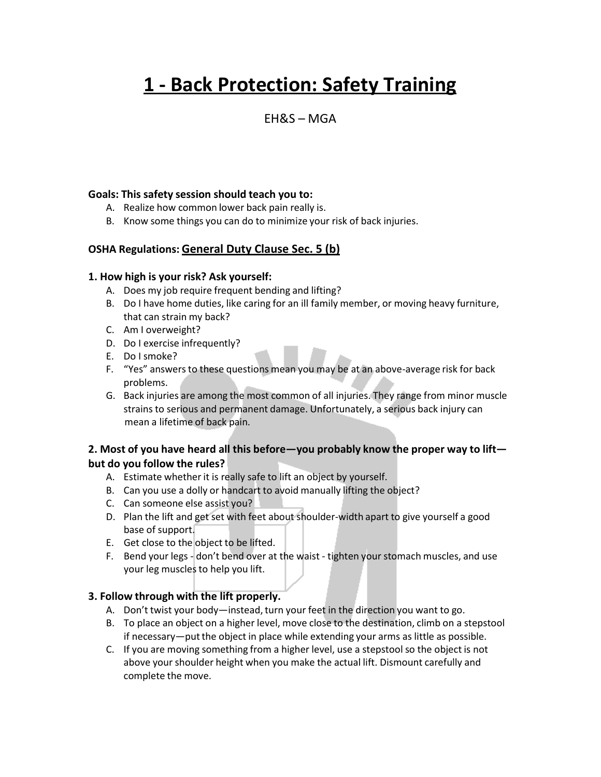# **1 - Back Protection: Safety Training**

### $FHRS - MGA$

#### **Goals: This safety session should teach you to:**

- A. Realize how common lower back pain really is.
- B. Know some things you can do to minimize your risk of back injuries.

#### **OSHA Regulations: General Duty Clause Sec. 5 (b)**

#### **1. How high is your risk? Ask yourself:**

- A. Does my job require frequent bending and lifting?
- B. Do I have home duties, like caring for an ill family member, or moving heavy furniture, that can strain my back?
- C. Am I overweight?
- D. Do I exercise infrequently?
- E. Do I smoke?
- F. "Yes" answersto these questions mean you may be at an above-average risk for back problems.
- G. Back injuries are among the most common of all injuries. They range from minor muscle strains to serious and permanent damage. Unfortunately, a serious back injury can mean a lifetime of back pain.

#### **2. Most of you have heard all this before—you probably know the proper way to lift but do you follow the rules?**

- A. Estimate whether it is really safe to lift an object by yourself.
- B. Can you use a dolly or handcart to avoid manually lifting the object?
- C. Can someone else assist you?
- D. Plan the lift and get set with feet about shoulder-width apart to give yourself a good base of support.
- E. Get close to the object to be lifted.
- F. Bend your legs don't bend over at the waist tighten your stomach muscles, and use your leg muscles to help you lift.

#### **3. Follow through with the lift properly.**

- A. Don't twist your body—instead, turn your feet in the direction you want to go.
- B. To place an object on a higher level, move close to the destination, climb on a stepstool if necessary—put the object in place while extending your arms as little as possible.
- C. If you are moving something from a higher level, use a stepstoolso the object is not above your shoulder height when you make the actual lift. Dismount carefully and complete the move.